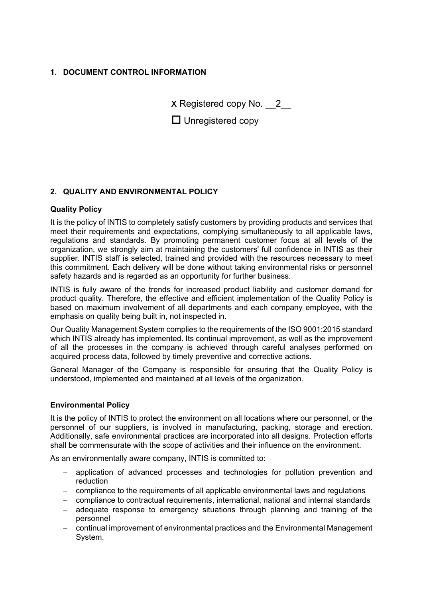## **1. DOCUMENT CONTROL INFORMATION**

X Registered copy No. 2

 $\Box$  Unregistered copy

## **2. QUALITY AND ENVIRONMENTAL POLICY**

## **Quality Policy**

It is the policy of INTIS to completely satisfy customers by providing products and services that meet their requirements and expectations, complying simultaneously to all applicable laws, regulations and standards. By promoting permanent customer focus at all levels of the organization, we strongly aim at maintaining the customers' full confidence in INTIS as their supplier. INTIS staff is selected, trained and provided with the resources necessary to meet this commitment. Each delivery will be done without taking environmental risks or personnel safety hazards and is regarded as an opportunity for further business.

INTIS is fully aware of the trends for increased product liability and customer demand for product quality. Therefore, the effective and efficient implementation of the Quality Policy is based on maximum involvement of all departments and each company employee, with the emphasis on quality being built in, not inspected in.

Our Quality Management System complies to the requirements of the ISO 9001:2015 standard which INTIS already has implemented. Its continual improvement, as well as the improvement of all the processes in the company is achieved through careful analyses performed on acquired process data, followed by timely preventive and corrective actions.

General Manager of the Company is responsible for ensuring that the Quality Policy is understood, implemented and maintained at all levels of the organization.

## **Environmental Policy**

It is the policy of INTIS to protect the environment on all locations where our personnel, or the personnel of our suppliers, is involved in manufacturing, packing, storage and erection. Additionally, safe environmental practices are incorporated into all designs. Protection efforts shall be commensurate with the scope of activities and their influence on the environment.

As an environmentally aware company, INTIS is committed to:

- application of advanced processes and technologies for pollution prevention and reduction
- compliance to the requirements of all applicable environmental laws and regulations
- compliance to contractual requirements, international, national and internal standards
- adequate response to emergency situations through planning and training of the personnel
- continual improvement of environmental practices and the Environmental Management System.